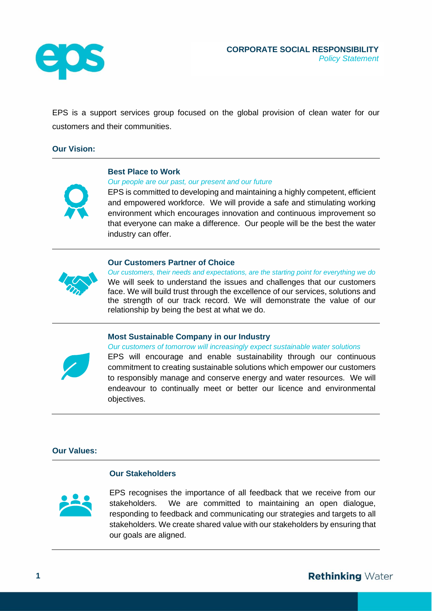

EPS is a support services group focused on the global provision of clean water for our customers and their communities.

## **Our Vision:**



#### **Best Place to Work**

*Our people are our past, our present and our future*

EPS is committed to developing and maintaining a highly competent, efficient and empowered workforce. We will provide a safe and stimulating working environment which encourages innovation and continuous improvement so that everyone can make a difference. Our people will be the best the water industry can offer.

# **Our Customers Partner of Choice**



*Our customers, their needs and expectations, are the starting point for everything we do* We will seek to understand the issues and challenges that our customers face. We will build trust through the excellence of our services, solutions and the strength of our track record. We will demonstrate the value of our relationship by being the best at what we do.

## **Most Sustainable Company in our Industry**



*Our customers of tomorrow will increasingly expect sustainable water solutions* EPS will encourage and enable sustainability through our continuous commitment to creating sustainable solutions which empower our customers to responsibly manage and conserve energy and water resources. We will endeavour to continually meet or better our licence and environmental

#### **Our Values:**

# **Our Stakeholders**

objectives.



EPS recognises the importance of all feedback that we receive from our stakeholders. We are committed to maintaining an open dialogue, responding to feedback and communicating our strategies and targets to all stakeholders. We create shared value with our stakeholders by ensuring that our goals are aligned.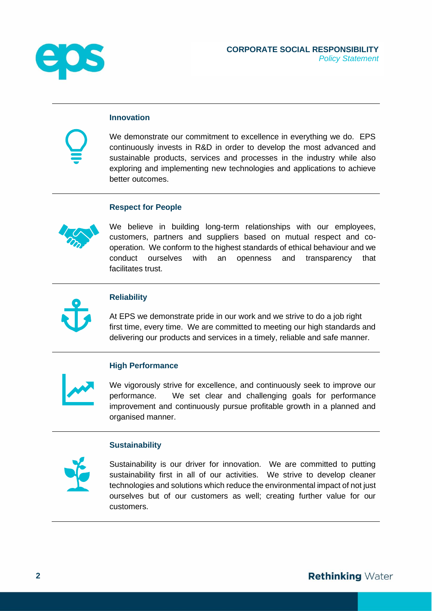

## **Innovation**

We demonstrate our commitment to excellence in everything we do. EPS continuously invests in R&D in order to develop the most advanced and sustainable products, services and processes in the industry while also exploring and implementing new technologies and applications to achieve better outcomes.

#### **Respect for People**



We believe in building long-term relationships with our employees, customers, partners and suppliers based on mutual respect and cooperation. We conform to the highest standards of ethical behaviour and we conduct ourselves with an openness and transparency that facilitates trust.



## **Reliability**

At EPS we demonstrate pride in our work and we strive to do a job right first time, every time. We are committed to meeting our high standards and delivering our products and services in a timely, reliable and safe manner.

#### **High Performance**

We vigorously strive for excellence, and continuously seek to improve our performance. We set clear and challenging goals for performance improvement and continuously pursue profitable growth in a planned and organised manner.

#### **Sustainability**



Sustainability is our driver for innovation. We are committed to putting sustainability first in all of our activities. We strive to develop cleaner technologies and solutions which reduce the environmental impact of not just ourselves but of our customers as well; creating further value for our customers.